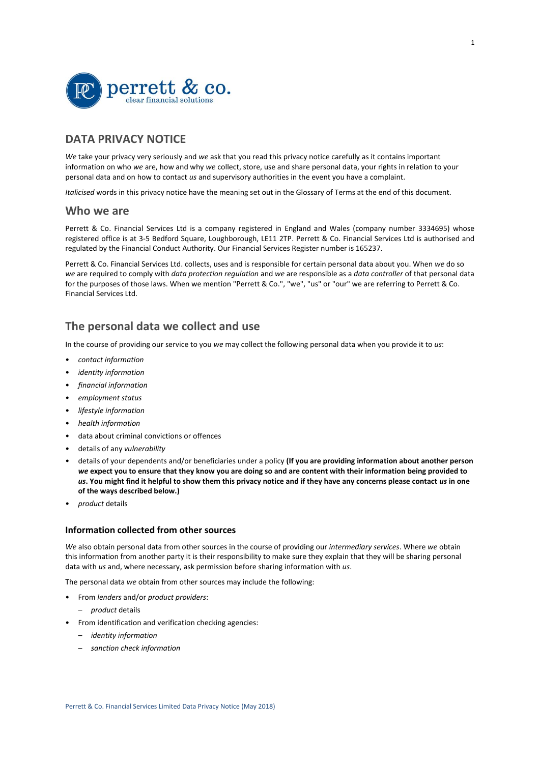

# **DATA PRIVACY NOTICE**

*We* take your privacy very seriously and *we* ask that you read this privacy notice carefully as it contains important information on who *we* are, how and why *we* collect, store, use and share personal data, your rights in relation to your personal data and on how to contact *us* and supervisory authorities in the event you have a complaint.

*Italicised* words in this privacy notice have the meaning set out in the Glossary of Terms at the end of this document.

## **Who we are**

Perrett & Co. Financial Services Ltd is a company registered in England and Wales (company number 3334695) whose registered office is at 3-5 Bedford Square, Loughborough, LE11 2TP. Perrett & Co. Financial Services Ltd is authorised and regulated by the Financial Conduct Authority. Our Financial Services Register number is 165237.

Perrett & Co. Financial Services Ltd. collects, uses and is responsible for certain personal data about you. When *we* do so *we* are required to comply with *data protection regulation* and *we* are responsible as a *data controller* of that personal data for the purposes of those laws. When we mention "Perrett & Co.", "we", "us" or "our" we are referring to Perrett & Co. Financial Services Ltd.

# **The personal data we collect and use**

In the course of providing our service to you *we* may collect the following personal data when you provide it to *us*:

- *contact information*
- *identity information*
- *financial information*
- *employment status*
- *lifestyle information*
- *health information*
- data about criminal convictions or offences
- details of any *vulnerability*
- details of your dependents and/or beneficiaries under a policy **(If you are providing information about another person**  *we* **expect you to ensure that they know you are doing so and are content with their information being provided to** *us***. You might find it helpful to show them this privacy notice and if they have any concerns please contact** *us* **in one of the ways described below.)**
- *product* details

## **Information collected from other sources**

*We* also obtain personal data from other sources in the course of providing our *intermediary services*. Where *we* obtain this information from another party it is their responsibility to make sure they explain that they will be sharing personal data with *us* and, where necessary, ask permission before sharing information with *us*.

The personal data *we* obtain from other sources may include the following:

- From *lenders* and/or *product providers*:
	- *product* details
- From identification and verification checking agencies:
	- *identity information*
	- *sanction check information*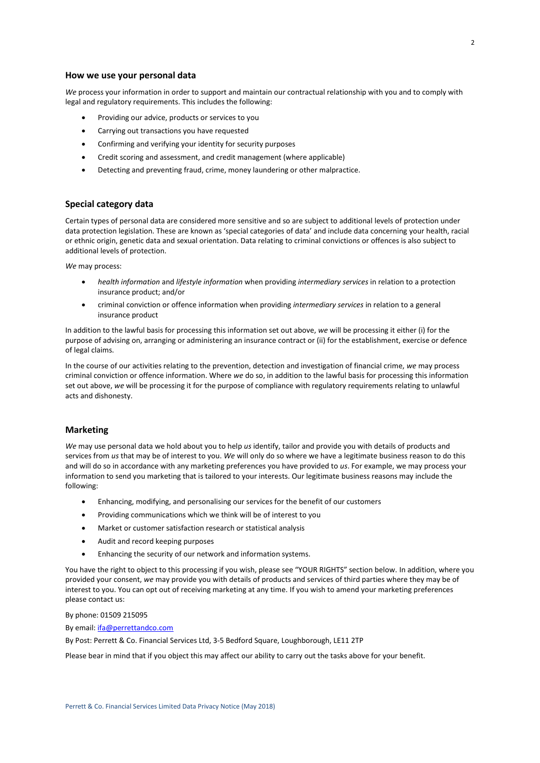*We* process your information in order to support and maintain our contractual relationship with you and to comply with legal and regulatory requirements. This includes the following:

- Providing our advice, products or services to you
- Carrying out transactions you have requested
- Confirming and verifying your identity for security purposes
- Credit scoring and assessment, and credit management (where applicable)
- Detecting and preventing fraud, crime, money laundering or other malpractice.

## **Special category data**

Certain types of personal data are considered more sensitive and so are subject to additional levels of protection under data protection legislation. These are known as 'special categories of data' and include data concerning your health, racial or ethnic origin, genetic data and sexual orientation. Data relating to criminal convictions or offences is also subject to additional levels of protection.

*We* may process:

- *health information* and *lifestyle information* when providing *intermediary services* in relation to a protection insurance product; and/or
- criminal conviction or offence information when providing *intermediary services* in relation to a general insurance product

In addition to the lawful basis for processing this information set out above, *we* will be processing it either (i) for the purpose of advising on, arranging or administering an insurance contract or (ii) for the establishment, exercise or defence of legal claims.

In the course of our activities relating to the prevention, detection and investigation of financial crime, *we* may process criminal conviction or offence information. Where *we* do so, in addition to the lawful basis for processing this information set out above, *we* will be processing it for the purpose of compliance with regulatory requirements relating to unlawful acts and dishonesty.

## **Marketing**

*We* may use personal data we hold about you to help *us* identify, tailor and provide you with details of products and services from *us* that may be of interest to you. *We* will only do so where we have a legitimate business reason to do this and will do so in accordance with any marketing preferences you have provided to *us*. For example, we may process your information to send you marketing that is tailored to your interests. Our legitimate business reasons may include the following:

- Enhancing, modifying, and personalising our services for the benefit of our customers
- Providing communications which we think will be of interest to you
- Market or customer satisfaction research or statistical analysis
- Audit and record keeping purposes
- Enhancing the security of our network and information systems.

You have the right to object to this processing if you wish, please see "YOUR RIGHTS" section below. In addition, where you provided your consent, *we* may provide you with details of products and services of third parties where they may be of interest to you. You can opt out of receiving marketing at any time. If you wish to amend your marketing preferences please contact us:

By phone: 01509 215095

By email[: ifa@perrettandco.com](mailto:ifa@perrettandco.com)

By Post: Perrett & Co. Financial Services Ltd, 3-5 Bedford Square, Loughborough, LE11 2TP

Please bear in mind that if you object this may affect our ability to carry out the tasks above for your benefit.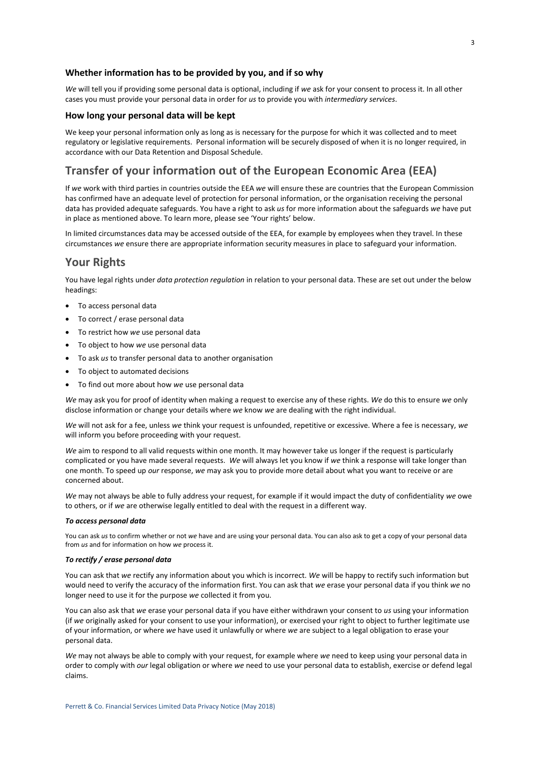### **Whether information has to be provided by you, and if so why**

*We* will tell you if providing some personal data is optional, including if *we* ask for your consent to process it. In all other cases you must provide your personal data in order for *us* to provide you with *intermediary services*.

### **How long your personal data will be kept**

We keep your personal information only as long as is necessary for the purpose for which it was collected and to meet regulatory or legislative requirements. Personal information will be securely disposed of when it is no longer required, in accordance with our Data Retention and Disposal Schedule.

# **Transfer of your information out of the European Economic Area (EEA)**

If *we* work with third parties in countries outside the EEA *we* will ensure these are countries that the European Commission has confirmed have an adequate level of protection for personal information, or the organisation receiving the personal data has provided adequate safeguards. You have a right to ask *us* for more information about the safeguards *we* have put in place as mentioned above. To learn more, please see 'Your rights' below.

In limited circumstances data may be accessed outside of the EEA, for example by employees when they travel. In these circumstances *we* ensure there are appropriate information security measures in place to safeguard your information.

# **Your Rights**

You have legal rights under *data protection regulation* in relation to your personal data. These are set out under the below headings:

- To access personal data
- To correct / erase personal data
- To restrict how *we* use personal data
- To object to how *we* use personal data
- To ask *us* to transfer personal data to another organisation
- To object to automated decisions
- To find out more about how *we* use personal data

*We* may ask you for proof of identity when making a request to exercise any of these rights. *We* do this to ensure *we* only disclose information or change your details where *we* know *we* are dealing with the right individual.

*We* will not ask for a fee, unless *we* think your request is unfounded, repetitive or excessive. Where a fee is necessary, *we* will inform you before proceeding with your request.

*We* aim to respond to all valid requests within one month. It may however take us longer if the request is particularly complicated or you have made several requests. *We* will always let you know if *we* think a response will take longer than one month. To speed up *our* response, *we* may ask you to provide more detail about what you want to receive or are concerned about.

*We* may not always be able to fully address your request, for example if it would impact the duty of confidentiality *we* owe to others, or if *we* are otherwise legally entitled to deal with the request in a different way.

### *To access personal data*

You can ask *us* to confirm whether or not *we* have and are using your personal data. You can also ask to get a copy of your personal data from *us* and for information on how *we* process it.

### *To rectify / erase personal data*

You can ask that *we* rectify any information about you which is incorrect. *We* will be happy to rectify such information but would need to verify the accuracy of the information first. You can ask that *we* erase your personal data if you think *we* no longer need to use it for the purpose *we* collected it from you.

You can also ask that *we* erase your personal data if you have either withdrawn your consent to *us* using your information (if *we* originally asked for your consent to use your information), or exercised your right to object to further legitimate use of your information, or where *we* have used it unlawfully or where *we* are subject to a legal obligation to erase your personal data.

*We* may not always be able to comply with your request, for example where *we* need to keep using your personal data in order to comply with *our* legal obligation or where *we* need to use your personal data to establish, exercise or defend legal claims.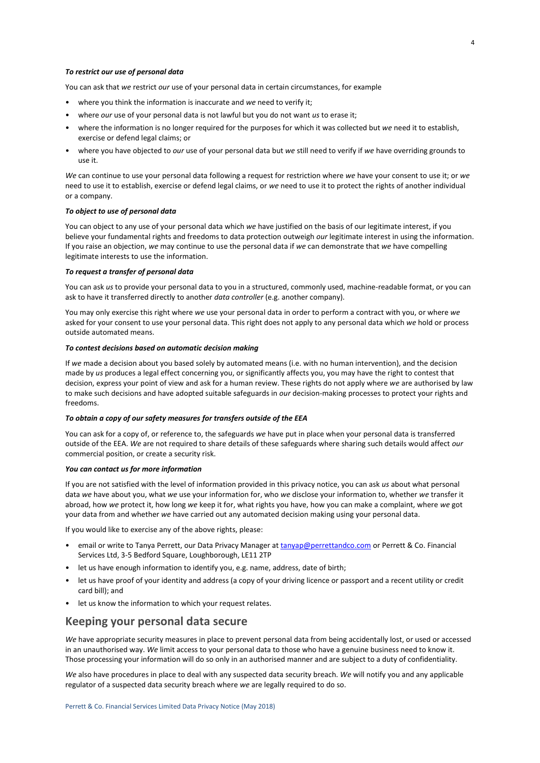#### *To restrict our use of personal data*

You can ask that *we* restrict *our* use of your personal data in certain circumstances, for example

- where you think the information is inaccurate and *we* need to verify it;
- where *our* use of your personal data is not lawful but you do not want *us* to erase it;
- where the information is no longer required for the purposes for which it was collected but *we* need it to establish, exercise or defend legal claims; or
- where you have objected to *our* use of your personal data but *we* still need to verify if *we* have overriding grounds to use it.

*We* can continue to use your personal data following a request for restriction where *we* have your consent to use it; or *we* need to use it to establish, exercise or defend legal claims, or *we* need to use it to protect the rights of another individual or a company.

#### *To object to use of personal data*

You can object to any use of your personal data which *we* have justified on the basis of our legitimate interest, if you believe your fundamental rights and freedoms to data protection outweigh *our* legitimate interest in using the information. If you raise an objection, *we* may continue to use the personal data if *we* can demonstrate that *we* have compelling legitimate interests to use the information.

### *To request a transfer of personal data*

You can ask *us* to provide your personal data to you in a structured, commonly used, machine-readable format, or you can ask to have it transferred directly to another *data controller* (e.g. another company).

You may only exercise this right where *we* use your personal data in order to perform a contract with you, or where *we* asked for your consent to use your personal data. This right does not apply to any personal data which *we* hold or process outside automated means.

### *To contest decisions based on automatic decision making*

If *we* made a decision about you based solely by automated means (i.e. with no human intervention), and the decision made by *us* produces a legal effect concerning you, or significantly affects you, you may have the right to contest that decision, express your point of view and ask for a human review. These rights do not apply where *we* are authorised by law to make such decisions and have adopted suitable safeguards in *our* decision-making processes to protect your rights and freedoms.

#### *To obtain a copy of our safety measures for transfers outside of the EEA*

You can ask for a copy of, or reference to, the safeguards *we* have put in place when your personal data is transferred outside of the EEA. *We* are not required to share details of these safeguards where sharing such details would affect *our* commercial position, or create a security risk.

#### *You can contact us for more information*

If you are not satisfied with the level of information provided in this privacy notice, you can ask *us* about what personal data *we* have about you, what *we* use your information for, who *we* disclose your information to, whether *we* transfer it abroad, how *we* protect it, how long *we* keep it for, what rights you have, how you can make a complaint, where *we* got your data from and whether *we* have carried out any automated decision making using your personal data.

If you would like to exercise any of the above rights, please:

- email or write to Tanya Perrett, our Data Privacy Manager a[t tanyap@perrettandco.com](mailto:tanyap@perrettandco.com) or Perrett & Co. Financial Services Ltd, 3-5 Bedford Square, Loughborough, LE11 2TP
- let us have enough information to identify you, e.g. name, address, date of birth;
- let us have proof of your identity and address (a copy of your driving licence or passport and a recent utility or credit card bill); and
- let us know the information to which your request relates.

## **Keeping your personal data secure**

*We* have appropriate security measures in place to prevent personal data from being accidentally lost, or used or accessed in an unauthorised way. *We* limit access to your personal data to those who have a genuine business need to know it. Those processing your information will do so only in an authorised manner and are subject to a duty of confidentiality.

*We* also have procedures in place to deal with any suspected data security breach. *We* will notify you and any applicable regulator of a suspected data security breach where *we* are legally required to do so.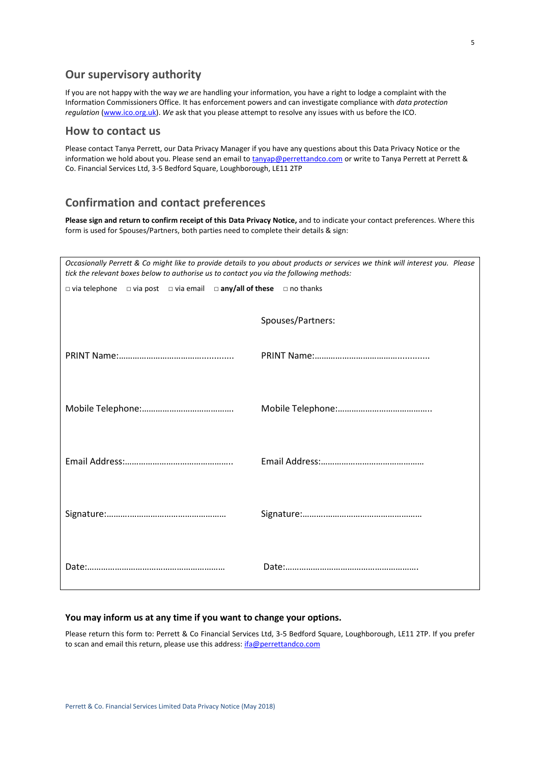# **Our supervisory authority**

If you are not happy with the way *we* are handling your information, you have a right to lodge a complaint with the Information Commissioners Office. It has enforcement powers and can investigate compliance with *data protection regulation* [\(www.ico.org.uk\)](http://www.ico.org.uk/). *We* ask that you please attempt to resolve any issues with us before the ICO.

# **How to contact us**

Please contact Tanya Perrett, our Data Privacy Manager if you have any questions about this Data Privacy Notice or the information we hold about you. Please send an email t[o tanyap@perrettandco.com](mailto:tanyap@perrettandco.com) or write to Tanya Perrett at Perrett & Co. Financial Services Ltd, 3-5 Bedford Square, Loughborough, LE11 2TP

# **Confirmation and contact preferences**

**Please sign and return to confirm receipt of this Data Privacy Notice,** and to indicate your contact preferences. Where this form is used for Spouses/Partners, both parties need to complete their details & sign:

| Occasionally Perrett & Co might like to provide details to you about products or services we think will interest you. Please<br>tick the relevant boxes below to authorise us to contact you via the following methods: |                   |  |
|-------------------------------------------------------------------------------------------------------------------------------------------------------------------------------------------------------------------------|-------------------|--|
| $\Box$ via telephone $\Box$ via post $\Box$ via email $\Box$ any/all of these $\Box$ no thanks                                                                                                                          |                   |  |
|                                                                                                                                                                                                                         | Spouses/Partners: |  |
|                                                                                                                                                                                                                         |                   |  |
|                                                                                                                                                                                                                         |                   |  |
|                                                                                                                                                                                                                         |                   |  |
|                                                                                                                                                                                                                         |                   |  |
|                                                                                                                                                                                                                         |                   |  |
|                                                                                                                                                                                                                         |                   |  |
|                                                                                                                                                                                                                         |                   |  |
|                                                                                                                                                                                                                         |                   |  |
|                                                                                                                                                                                                                         |                   |  |
|                                                                                                                                                                                                                         |                   |  |

## **You may inform us at any time if you want to change your options.**

Please return this form to: Perrett & Co Financial Services Ltd, 3-5 Bedford Square, Loughborough, LE11 2TP. If you prefer to scan and email this return, please use this address: *[ifa@perrettandco.com](mailto:ifa@perrettandco.com)*